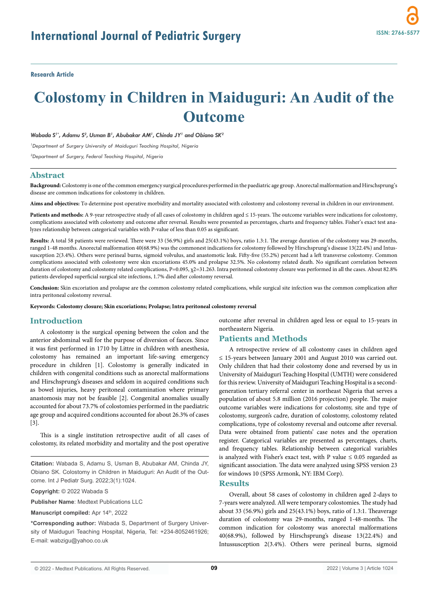**Research Article**

# **Colostomy in Children in Maiduguri: An Audit of the Outcome**

Wabada S<sup>1\*</sup>, Adamu S<sup>2</sup>, Usman B<sup>1</sup>, Abubakar AM<sup>1</sup>, Chinda JY<sup>1</sup> and Obiano SK<sup>2</sup>

*1 Department of Surgery University of Maiduguri Teaching Hospital, Nigeria*

*2 Department of Surgery, Federal Teaching Hospital, Nigeria*

# **Abstract**

**Background:** Colostomy is one of the common emergency surgical procedures performed in the paediatric age group. Anorectal malformation and Hirschsprung's disease are common indications for colostomy in children.

**Aims and objectives:** To determine post operative morbidity and mortality associated with colostomy and colostomy reversal in children in our environment.

**Patients and methods:** A 9-year retrospective study of all cases of colostomy in children aged ≤ 15-years. The outcome variables were indications for colostomy, complications associated with colostomy and outcome after reversal. Results were presented as percentages, charts and frequency tables. Fisher's exact test analyzes relationship between categorical variables with P-value of less than 0.05 as significant.

**Results:** A total 58 patients were reviewed. There were 33 (56.9%) girls and 25(43.1%) boys, ratio 1.3:1. The average duration of the colostomy was 29-months, ranged 1-48 months. Anorectal malformation 40(68.9%) was the commonest indications for colostomy followed by Hirschsprung's disease 13(22.4%) and Intussusception 2(3.4%). Others were perineal burns, sigmoid volvulus, and anastomotic leak. Fifty-five (55.2%) percent had a left transverse colostomy. Common complications associated with colostomy were skin excoriations 45.0% and prolapse 32.5%. No colostomy related death. No significant correlation between duration of colostomy and colostomy related complications, P=0.095,  $\chi$ 2=31.263. Intra peritoneal colostomy closure was performed in all the cases. About 82.8% patients developed superficial surgical site infections, 1.7% died after colostomy reversal.

**Conclusion:** Skin excoriation and prolapse are the common colostomy related complications, while surgical site infection was the common complication after intra peritoneal colostomy reversal.

**Keywords: Colostomy closure; Skin excoriations; Prolapse; Intra peritoneal colostomy reversal**

# **Introduction**

A colostomy is the surgical opening between the colon and the anterior abdominal wall for the purpose of diversion of faeces. Since it was first performed in 1710 by Littre in children with anesthesia, colostomy has remained an important life-saving emergency procedure in children [1]. Colostomy is generally indicated in children with congenital conditions such as anorectal malformations and Hirschsprung's diseases and seldom in acquired conditions such as bowel injuries, heavy peritoneal contamination where primary anastomosis may not be feasible [2]. Congenital anomalies usually accounted for about 73.7% of colostomies performed in the paediatric age group and acquired conditions accounted for about 26.3% of cases [3].

This is a single institution retrospective audit of all cases of colostomy, its related morbidity and mortality and the post operative

**Citation:** Wabada S, Adamu S, Usman B, Abubakar AM, Chinda JY, Obiano SK. Colostomy in Children in Maiduguri: An Audit of the Outcome. Int J Pediatr Surg. 2022;3(1):1024.

**Copyright:** © 2022 Wabada S

**Publisher Name**: Medtext Publications LLC

**Manuscript compiled:** Apr 14th, 2022

**\*Corresponding author:** Wabada S, Department of Surgery University of Maiduguri Teaching Hospital, Nigeria, Tel: +234-8052461926; E-mail: wabzigu@yahoo.co.uk

outcome after reversal in children aged less or equal to 15-years in northeastern Nigeria.

## **Patients and Methods**

A retrospective review of all colostomy cases in children aged ≤ 15-years between January 2001 and August 2010 was carried out. Only children that had their colostomy done and reversed by us in University of Maiduguri Teaching Hospital (UMTH) were considered for this review. University of Maiduguri Teaching Hospital is a secondgeneration tertiary referral center in northeast Nigeria that serves a population of about 5.8 million (2016 projection) people. The major outcome variables were indications for colostomy, site and type of colostomy, surgeon's cadre, duration of colostomy, colostomy related complications, type of colostomy reversal and outcome after reversal. Data were obtained from patients' case notes and the operation register. Categorical variables are presented as percentages, charts, and frequency tables. Relationship between categorical variables is analyzed with Fisher's exact test, with P value  $\leq 0.05$  regarded as significant association. The data were analyzed using SPSS version 23 for windows 10 (SPSS Armonk, NY: IBM Corp).

#### **Results**

Overall, about 58 cases of colostomy in children aged 2-days to 7-years were analyzed. All were temporary colostomies. The study had about 33 (56.9%) girls and 25(43.1%) boys, ratio of 1.3:1. Theaverage duration of colostomy was 29-months, ranged 1-48-months. The common indication for colostomy was anorectal malformations 40(68.9%), followed by Hirschsprung's disease 13(22.4%) and Intussusception 2(3.4%). Others were perineal burns, sigmoid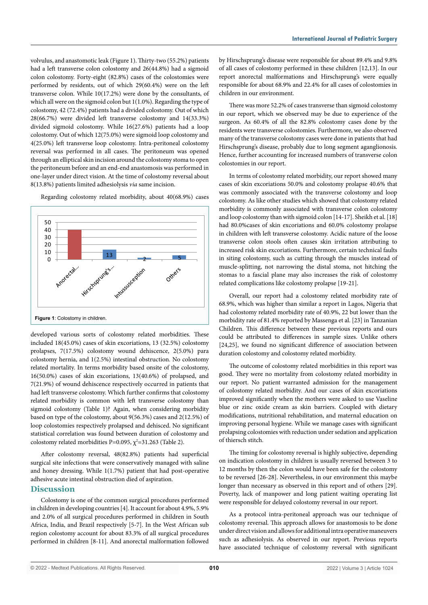volvulus, and anastomotic leak (Figure 1). Thirty-two (55.2%) patients had a left transverse colon colostomy and 26(44.8%) had a sigmoid colon colostomy. Forty-eight (82.8%) cases of the colostomies were performed by residents, out of which 29(60.4%) were on the left transverse colon. While 10(17.2%) were done by the consultants, of which all were on the sigmoid colon but 1(1.0%). Regarding the type of colostomy, 42 (72.4%) patients had a divided colostomy. Out of which 28(66.7%) were divided left transverse colostomy and 14(33.3%) divided sigmoid colostomy. While 16(27.6%) patients had a loop colostomy. Out of which 12(75.0%) were sigmoid loop colostomy and 4(25.0%) left transverse loop colostomy. Intra-peritoneal colostomy reversal was performed in all cases. The peritoneum was opened through an elliptical skin incision around the colostomy stoma to open the peritoneum before and an end-end anastomosis was performed in one-layer under direct vision. At the time of colostomy reversal about 8(13.8%) patients limited adhesiolysis *via* same incision.

Regarding colostomy related morbidity, about 40(68.9%) cases



developed various sorts of colostomy related morbidities. These included 18(45.0%) cases of skin excoriations, 13 (32.5%) colostomy prolapses, 7(17.5%) colostomy wound dehiscence, 2(5.0%) para colostomy hernia, and 1(2.5%) intestinal obstruction. No colostomy related mortality. In terms morbidity based onsite of the colostomy, 16(50.0%) cases of skin excoriations, 13(40.6%) of prolapsed, and 7(21.9%) of wound dehiscence respectively occurred in patients that had left transverse colostomy. Which further confirms that colostomy related morbidity is common with left transverse colostomy than sigmoid colostomy (Table 1)? Again, when considering morbidity based on type of the colostomy, about 9(56.3%) cases and 2(12.5%) of loop colostomies respectively prolapsed and dehisced. No significant statistical correlation was found between duration of colostomy and colostomy related morbidities P=0.095,  $\chi^2$ =31.263 (Table 2).

After colostomy reversal, 48(82.8%) patients had superficial surgical site infections that were conservatively managed with saline and honey dressing. While 1(1.7%) patient that had post-operative adhesive acute intestinal obstruction died of aspiration.

# **Discussion**

Colostomy is one of the common surgical procedures performed in children in developing countries [4]. It account for about 4.9%, 5.9% and 2.0% of all surgical procedures performed in children in South Africa, India, and Brazil respectively [5-7]. In the West African sub region colostomy account for about 83.3% of all surgical procedures performed in children [8-11]. And anorectal malformation followed by Hirschsprung's disease were responsible for about 89.4% and 9.8% of all cases of colostomy performed in these children [12,13]. In our report anorectal malformations and Hirschsprung's were equally responsible for about 68.9% and 22.4% for all cases of colostomies in children in our environment.

There was more 52.2% of cases transverse than sigmoid colostomy in our report, which we observed may be due to experience of the surgeon. As 60.4% of all the 82.8% colostomy cases done by the residents were transverse colostomies. Furthermore, we also observed many of the transverse colostomy cases were done in patients that had Hirschsprung's disease, probably due to long segment aganglionosis. Hence, further accounting for increased numbers of transverse colon colostomies in our report.

In terms of colostomy related morbidity, our report showed many cases of skin excoriations 50.0% and colostomy prolapse 40.6% that was commonly associated with the transverse colostomy and loop colostomy. As like other studies which showed that colostomy related morbidity is commonly associated with transverse colon colostomy and loop colostomy than with sigmoid colon [14-17]. Sheikh et al. [18] had 80.0%cases of skin excoriations and 60.0% colostomy prolapse in children with left transverse colostomy. Acidic nature of the loose transverse colon stools often causes skin irritation attributing to increased risk skin excoriations. Furthermore, certain technical faults in siting colostomy, such as cutting through the muscles instead of muscle-splitting, not narrowing the distal stoma, not hitching the stomas to a fascial plane may also increases the risk of colostomy related complications like colostomy prolapse [19-21].

Overall, our report had a colostomy related morbidity rate of 68.9%, which was higher than similar a report in Lagos, Nigeria that had colostomy related morbidity rate of 40.9%, 22 but lower than the morbidity rate of 81.4% reported by Massenga et al. [23] in Tanzanian Children. This difference between these previous reports and ours could be attributed to differences in sample sizes. Unlike others [24,25], we found no significant difference of association between duration colostomy and colostomy related morbidity.

The outcome of colostomy related morbidities in this report was good. They were no mortality from colostomy related morbidity in our report. No patient warranted admission for the management of colostomy related morbidity. And our cases of skin excoriations improved significantly when the mothers were asked to use Vaseline blue or zinc oxide cream as skin barriers. Coupled with dietary modifications, nutritional rehabilitation, and maternal education on improving personal hygiene. While we manage cases with significant prolapsing colostomies with reduction under sedation and application of thiersch stitch.

The timing for colostomy reversal is highly subjective, depending on indication colostomy in children is usually reversed between 3 to 12 months by then the colon would have been safe for the colostomy to be reversed [26-28]. Nevertheless, in our environment this maybe longer than necessary as observed in this report and of others [29]. Poverty, lack of manpower and long patient waiting operating list were responsible for delayed colostomy reversal in our report.

As a protocol intra-peritoneal approach was our technique of colostomy reversal. This approach allows for anastomosis to be done under direct vision and allows for additional intra operative maneuvers such as adhesiolysis. As observed in our report. Previous reports have associated technique of colostomy reversal with significant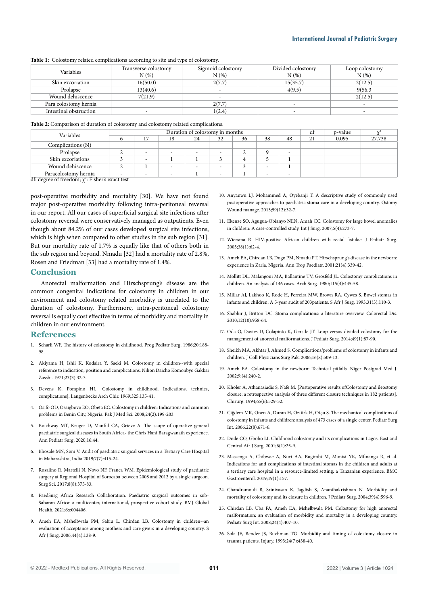**Table 1:** Colostomy related complications according to site and type of colostomy.

| Variables              | Transverse colostomy | Sigmoid colostomy        | Divided colostomy | Loop colostomy |  |
|------------------------|----------------------|--------------------------|-------------------|----------------|--|
|                        | N(%)                 | N(%)                     | $N(\%)$           | N(%)           |  |
| Skin excoriation       | 16(50.0)             | 2(7.7)                   | 15(35.7)          | 2(12.5)        |  |
| Prolapse               | 13(40.6)             |                          | 4(9.5)            | 9(56.3)        |  |
| Wound dehiscence       | 7(21.9)              | $\overline{\phantom{a}}$ |                   | 2(12.5)        |  |
| Para colostomy hernia  |                      | 2(7.7)                   |                   |                |  |
| Intestinal obstruction |                      | 1(2.4)                   |                   |                |  |

| Table 2: Comparison of duration of colostomy and colostomy related complications. |  |
|-----------------------------------------------------------------------------------|--|
|-----------------------------------------------------------------------------------|--|

| Duration of colostomy in months |                          |    |    |     |    | df | p-value |    |       |        |
|---------------------------------|--------------------------|----|----|-----|----|----|---------|----|-------|--------|
| o                               |                          | 18 | 24 | 32  | 36 | 38 | 48      | 21 | 0.095 | 27.738 |
|                                 |                          |    |    |     |    |    |         |    |       |        |
|                                 | $\overline{\phantom{a}}$ |    |    | . . |    |    |         |    |       |        |
|                                 | $\overline{\phantom{a}}$ |    |    |     | 4  |    |         |    |       |        |
| ∼                               |                          |    |    |     |    |    |         |    |       |        |
| $\overline{\phantom{a}}$        | -                        |    |    | . . |    | -  |         |    |       |        |
|                                 | .                        |    |    |     |    |    |         |    |       |        |

df: degree of freedom;  $\chi^2$ : Fisher's exact test

post-operative morbidity and mortality [30]. We have not found major post-operative morbidity following intra-peritoneal reversal in our report. All our cases of superficial surgical site infections after colostomy reversal were conservatively managed as outpatients. Even though about 84.2% of our cases developed surgical site infections, which is high when compared to other studies in the sub region [31]. But our mortality rate of 1.7% is equally like that of others both in the sub region and beyond. Nmadu [32] had a mortality rate of 2.8%, Rosen and Friedman [33] had a mortality rate of 1.4%.

### **Conclusion**

Anorectal malformation and Hirschsprung's disease are the common congenital indications for colostomy in children in our environment and colostomy related morbidity is unrelated to the duration of colostomy. Furthermore, intra-peritoneal colostomy reversal is equally cost effective in terms of morbidity and mortality in children in our environment.

## **References**

- 1. Scharli WF. The history of colostomy in childhood. Prog Pediatr Surg. 1986;20:188- 98.
- 2. Akiyama H, Ishii K, Kodaira Y, Saeki M. Colostomy in children--with special reference to indication, position and complications. Nihon Daicho Komonbyo Gakkai Zasshi. 1971;23(3):32-3.
- 3. Devens K, Pompino HJ. [Colostomy in childhood. Indications, technics, complications]. Langenbecks Arch Chir. 1969;325:135-41.
- 4. Osifo OD, Osaigbovo EO, Obeta EC. Colostomy in children: Indications and common problems in Benin City, Nigeria. Pak J Med Sci. 2008;24(2):199-203.
- 5. Botchway MT, Kruger D, Manful CA, Grieve A. The scope of operative general paediatric surgical diseases in South Africa- the Chris Hani Baragwanath experience. Ann Pediatr Surg. 2020;16:44.
- 6. Bhosale MN, Soni V. Audit of paediatric surgical services in a Tertiary Care Hospital in Maharashtra, India.2019;7(7):415-24.
- 7. Rosalino R, Martelli N, Novo NF, Franca WM. Epidemiological study of paediatric surgery at Regional Hospital of Sorocaba between 2008 and 2012 by a single surgeon. Surg Sci. 2017;8(8):375-83.
- 8. PaedSurg Africa Research Collaboration. Paediatric surgical outcomes in sub-Saharan Africa: a multicenter, international, prospective cohort study. BMJ Global Health. 2021;6:e004406.
- 9. Ameh EA, Mshelbwala PM, Sabiu L, Chirdan LB. Colostomy in children--an evaluation of acceptance among mothers and care givers in a developing country. S Afr J Surg. 2006;44(4):138-9.
- 10. Anyanwu LJ, Mohammed A, Oyebanji T. A descriptive study of commonly used postoperative approaches to paediatric stoma care in a developing country. Ostomy Wound manage. 2013;59(12):32-7.
- 11. Ekenze SO, Agugua-Obianyo NEN, Amah CC. Colostomy for large bowel anomalies in children: A case-controlled study. Int J Surg. 2007;5(4):273-7.
- 12. Wiersma R. HIV-positive African children with rectal fistulae. J Pediatr Surg. 2003;38(1):62-4.
- 13. Ameh EA, Chirdan LB, Dogo PM, Nmadu PT. Hirschsprung's disease in the newborn: experience in Zaria, Nigeria. Ann Trop Paediatr. 2001;21(4):339-42.
- 14. Mollitt DL, Malangoni MA, Ballantine TV, Grosfeld JL. Colostomy complications in children. An analysis of 146 cases. Arch Surg. 1980;115(4):445-58.
- 15. Millar AJ, Lakhoo K, Rode H, Ferreira MW, Brown RA, Cywes S. Bowel stomas in infants and children. A 5-year audit of 203patients. S Afr J Surg. 1993;31(3):110-3.
- 16. Shabbir J, Britton DC. Stoma complications: a literature overview. Colorectal Dis. 2010;12(10):958-64.
- 17. Oda O, Davies D, Colapinto K, Gerstle JT. Loop versus divided colostomy for the management of anorectal malformations. J Pediatr Surg. 2014;49(1):87-90.
- 18. Sheikh MA, Akhtar J, Ahmed S. Complications/problems of colostomy in infants and children. J Coll Physicians Surg Pak. 2006;16(8):509-13.
- 19. Ameh EA. Colostomy in the newborn: Technical pitfalls. Niger Postgrad Med J. 2002;9:(4):240-2.
- 20. Kholer A, Athanasiadis S, Nafe M. [Postoperative results ofColostomy and ileostomy closure: a retrospective analysis of three different closure techniques in 182 patients]. Chirurg. 1994;65(6):529-32.
- 21. Ciğdem MK, Onen A, Duran H, Oztürk H, Otçu S. The mechanical complications of colostomy in infants and children: analysis of 473 cases of a single center. Pediatr Surg Int. 2006;22(8):671-6.
- 22. Dode CO, Gbobo LI. Childhood colostomy and its complications in Lagos. East and Central Afr J Surg. 2001;6(1):25-9.
- 23. Massenga A, Chibwae A, Nuri AA, Bugimbi M, Munisi YK, Mfinanga R, et al. Indications for and complications of intestinal stomas in the children and adults at a tertiary care hospital in a resource-limited setting: a Tanzanian experience. BMC Gastroenterol. 2019;19(1):157.
- 24. Chandramouli B, Srinivasan K, Jagdish S, Ananthakrishnan N. Morbidity and mortality of colostomy and its closure in children. J Pediatr Surg. 2004;39(4):596-9.
- 25. Chirdan LB, Uba FA, Ameh EA, Mshelbwala PM. Colostomy for high anorectal malformation: an evaluation of morbidity and mortality in a developing country. Pediatr Surg Int. 2008;24(4):407-10.
- 26. Sola JE, Bender JS, Buchman TG. Morbidity and timing of colostomy closure in trauma patients. Injury. 1993;24(7):438-40.